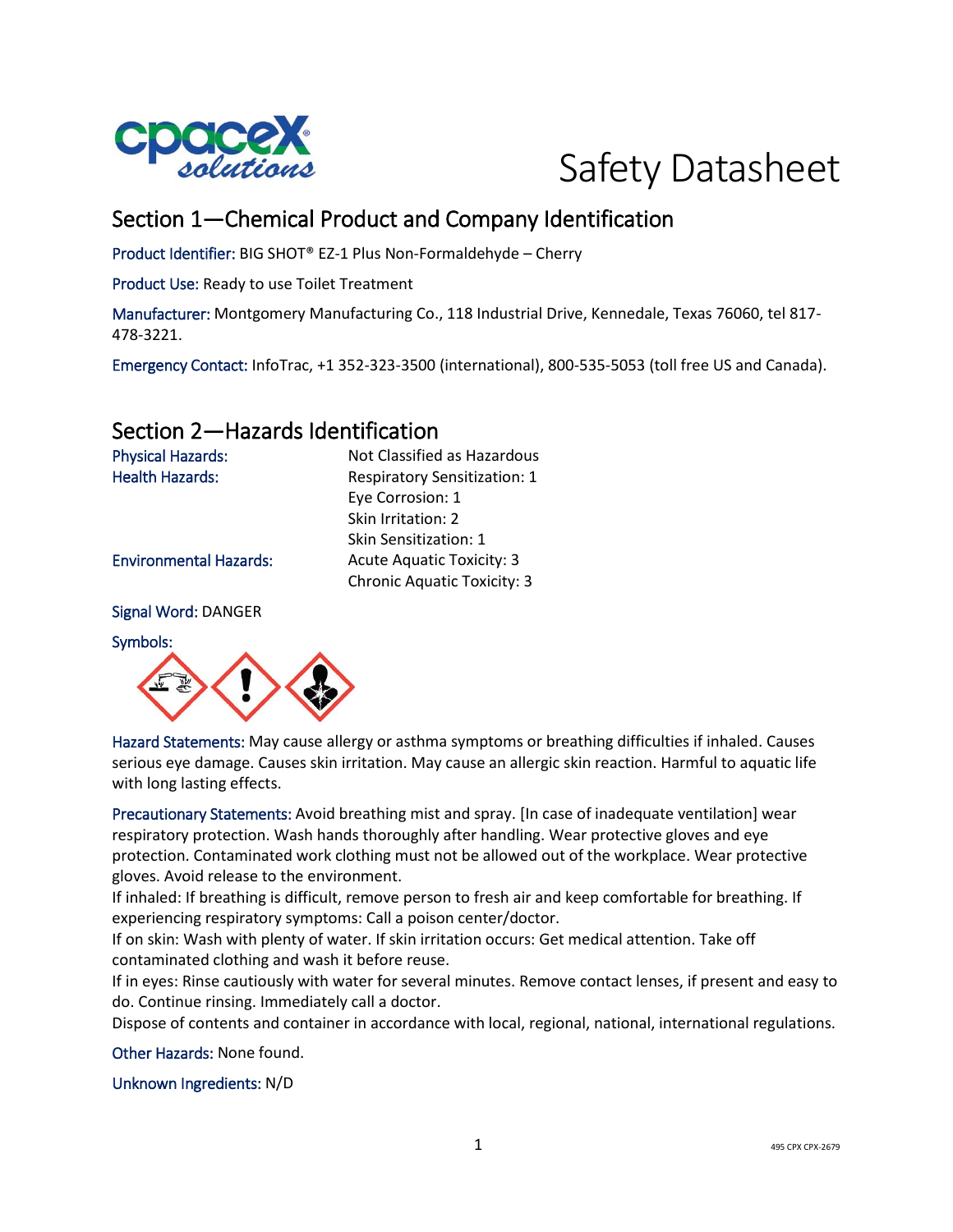



## Section 1—Chemical Product and Company Identification

Product Identifier: BIG SHOT® EZ-1 Plus Non-Formaldehyde – Cherry

Product Use: Ready to use Toilet Treatment

Manufacturer: Montgomery Manufacturing Co., 118 Industrial Drive, Kennedale, Texas 76060, tel 817- 478-3221.

Emergency Contact: InfoTrac, +1 352-323-3500 (international), 800-535-5053 (toll free US and Canada).

## Section 2—Hazards Identification

Physical Hazards: Not Classified as Hazardous Health Hazards: Respiratory Sensitization: 1 Eye Corrosion: 1 Skin Irritation: 2 Skin Sensitization: 1 Environmental Hazards: Acute Aquatic Toxicity: 3 Chronic Aquatic Toxicity: 3

Signal Word: DANGER

Symbols:



Hazard Statements: May cause allergy or asthma symptoms or breathing difficulties if inhaled. Causes serious eye damage. Causes skin irritation. May cause an allergic skin reaction. Harmful to aquatic life with long lasting effects.

Precautionary Statements: Avoid breathing mist and spray. [In case of inadequate ventilation] wear respiratory protection. Wash hands thoroughly after handling. Wear protective gloves and eye protection. Contaminated work clothing must not be allowed out of the workplace. Wear protective gloves. Avoid release to the environment.

If inhaled: If breathing is difficult, remove person to fresh air and keep comfortable for breathing. If experiencing respiratory symptoms: Call a poison center/doctor.

If on skin: Wash with plenty of water. If skin irritation occurs: Get medical attention. Take off contaminated clothing and wash it before reuse.

If in eyes: Rinse cautiously with water for several minutes. Remove contact lenses, if present and easy to do. Continue rinsing. Immediately call a doctor.

Dispose of contents and container in accordance with local, regional, national, international regulations.

Other Hazards: None found.

Unknown Ingredients: N/D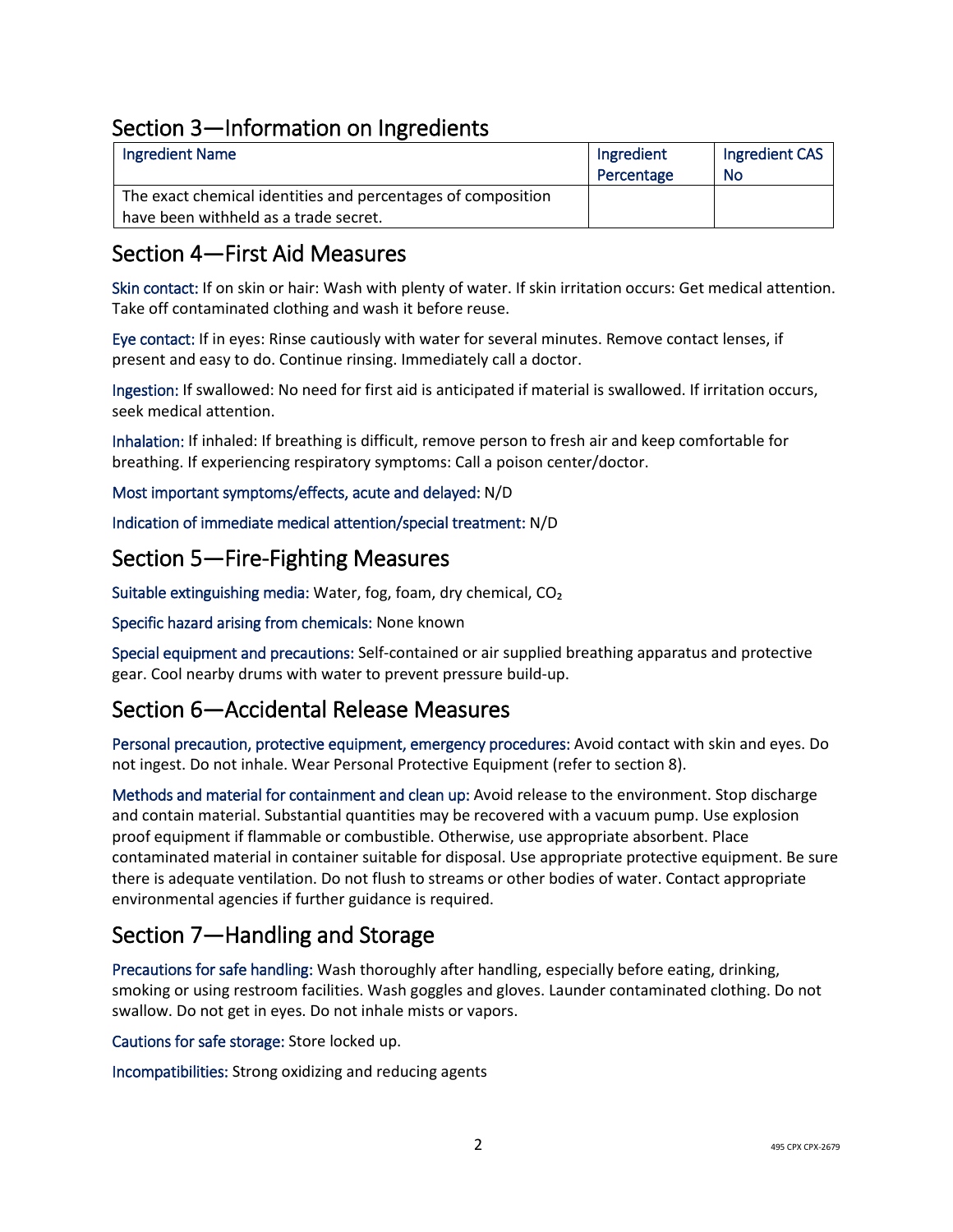## Section 3—Information on Ingredients

| <b>Ingredient Name</b>                                       | Ingredient | Ingredient CAS |
|--------------------------------------------------------------|------------|----------------|
|                                                              | Percentage | No             |
| The exact chemical identities and percentages of composition |            |                |
| have been withheld as a trade secret.                        |            |                |

## Section 4—First Aid Measures

Skin contact: If on skin or hair: Wash with plenty of water. If skin irritation occurs: Get medical attention. Take off contaminated clothing and wash it before reuse.

Eye contact: If in eyes: Rinse cautiously with water for several minutes. Remove contact lenses, if present and easy to do. Continue rinsing. Immediately call a doctor.

Ingestion: If swallowed: No need for first aid is anticipated if material is swallowed. If irritation occurs, seek medical attention.

Inhalation: If inhaled: If breathing is difficult, remove person to fresh air and keep comfortable for breathing. If experiencing respiratory symptoms: Call a poison center/doctor.

Most important symptoms/effects, acute and delayed: N/D

Indication of immediate medical attention/special treatment: N/D

### Section 5—Fire-Fighting Measures

Suitable extinguishing media: Water, fog, foam, dry chemical, CO₂

Specific hazard arising from chemicals: None known

Special equipment and precautions: Self-contained or air supplied breathing apparatus and protective gear. Cool nearby drums with water to prevent pressure build-up.

## Section 6—Accidental Release Measures

Personal precaution, protective equipment, emergency procedures: Avoid contact with skin and eyes. Do not ingest. Do not inhale. Wear Personal Protective Equipment (refer to section 8).

Methods and material for containment and clean up: Avoid release to the environment. Stop discharge and contain material. Substantial quantities may be recovered with a vacuum pump. Use explosion proof equipment if flammable or combustible. Otherwise, use appropriate absorbent. Place contaminated material in container suitable for disposal. Use appropriate protective equipment. Be sure there is adequate ventilation. Do not flush to streams or other bodies of water. Contact appropriate environmental agencies if further guidance is required.

## Section 7—Handling and Storage

Precautions for safe handling: Wash thoroughly after handling, especially before eating, drinking, smoking or using restroom facilities. Wash goggles and gloves. Launder contaminated clothing. Do not swallow. Do not get in eyes. Do not inhale mists or vapors.

Cautions for safe storage: Store locked up.

Incompatibilities: Strong oxidizing and reducing agents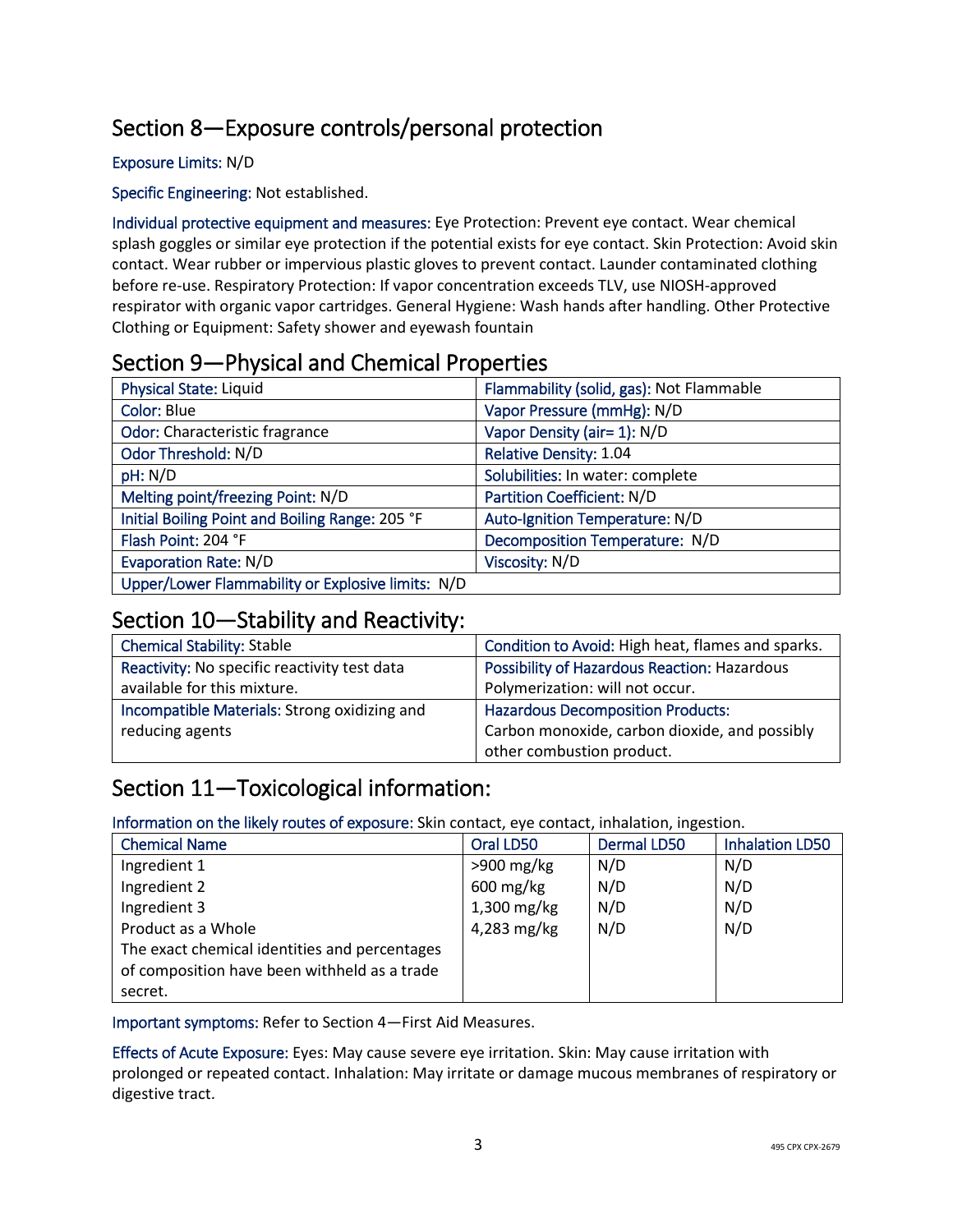# Section 8—Exposure controls/personal protection

#### Exposure Limits: N/D

Specific Engineering: Not established.

Individual protective equipment and measures: Eye Protection: Prevent eye contact. Wear chemical splash goggles or similar eye protection if the potential exists for eye contact. Skin Protection: Avoid skin contact. Wear rubber or impervious plastic gloves to prevent contact. Launder contaminated clothing before re-use. Respiratory Protection: If vapor concentration exceeds TLV, use NIOSH-approved respirator with organic vapor cartridges. General Hygiene: Wash hands after handling. Other Protective Clothing or Equipment: Safety shower and eyewash fountain

## Section 9—Physical and Chemical Properties

| Physical State: Liquid                            | Flammability (solid, gas): Not Flammable |
|---------------------------------------------------|------------------------------------------|
| Color: Blue                                       | Vapor Pressure (mmHg): N/D               |
| Odor: Characteristic fragrance                    | Vapor Density (air= 1): N/D              |
| Odor Threshold: N/D                               | Relative Density: 1.04                   |
| pH: N/D                                           | Solubilities: In water: complete         |
| Melting point/freezing Point: N/D                 | Partition Coefficient: N/D               |
| Initial Boiling Point and Boiling Range: 205 °F   | Auto-Ignition Temperature: N/D           |
| Flash Point: 204 °F                               | Decomposition Temperature: N/D           |
| <b>Evaporation Rate: N/D</b>                      | Viscosity: N/D                           |
| Upper/Lower Flammability or Explosive limits: N/D |                                          |

### Section 10—Stability and Reactivity:

| <b>Chemical Stability: Stable</b>            | Condition to Avoid: High heat, flames and sparks. |
|----------------------------------------------|---------------------------------------------------|
| Reactivity: No specific reactivity test data | Possibility of Hazardous Reaction: Hazardous      |
| available for this mixture.                  | Polymerization: will not occur.                   |
| Incompatible Materials: Strong oxidizing and | <b>Hazardous Decomposition Products:</b>          |
| reducing agents                              | Carbon monoxide, carbon dioxide, and possibly     |
|                                              | other combustion product.                         |

## Section 11—Toxicological information:

Information on the likely routes of exposure: Skin contact, eye contact, inhalation, ingestion.

| <b>Chemical Name</b>                          | Oral LD50              | <b>Dermal LD50</b> | <b>Inhalation LD50</b> |
|-----------------------------------------------|------------------------|--------------------|------------------------|
| Ingredient 1                                  | $>900$ mg/kg           | N/D                | N/D                    |
| Ingredient 2                                  | $600 \,\mathrm{mg/kg}$ | N/D                | N/D                    |
| Ingredient 3                                  | 1,300 mg/kg            | N/D                | N/D                    |
| Product as a Whole                            | 4,283 mg/kg            | N/D                | N/D                    |
| The exact chemical identities and percentages |                        |                    |                        |
| of composition have been withheld as a trade  |                        |                    |                        |
| secret.                                       |                        |                    |                        |

Important symptoms: Refer to Section 4—First Aid Measures.

Effects of Acute Exposure: Eyes: May cause severe eye irritation. Skin: May cause irritation with prolonged or repeated contact. Inhalation: May irritate or damage mucous membranes of respiratory or digestive tract.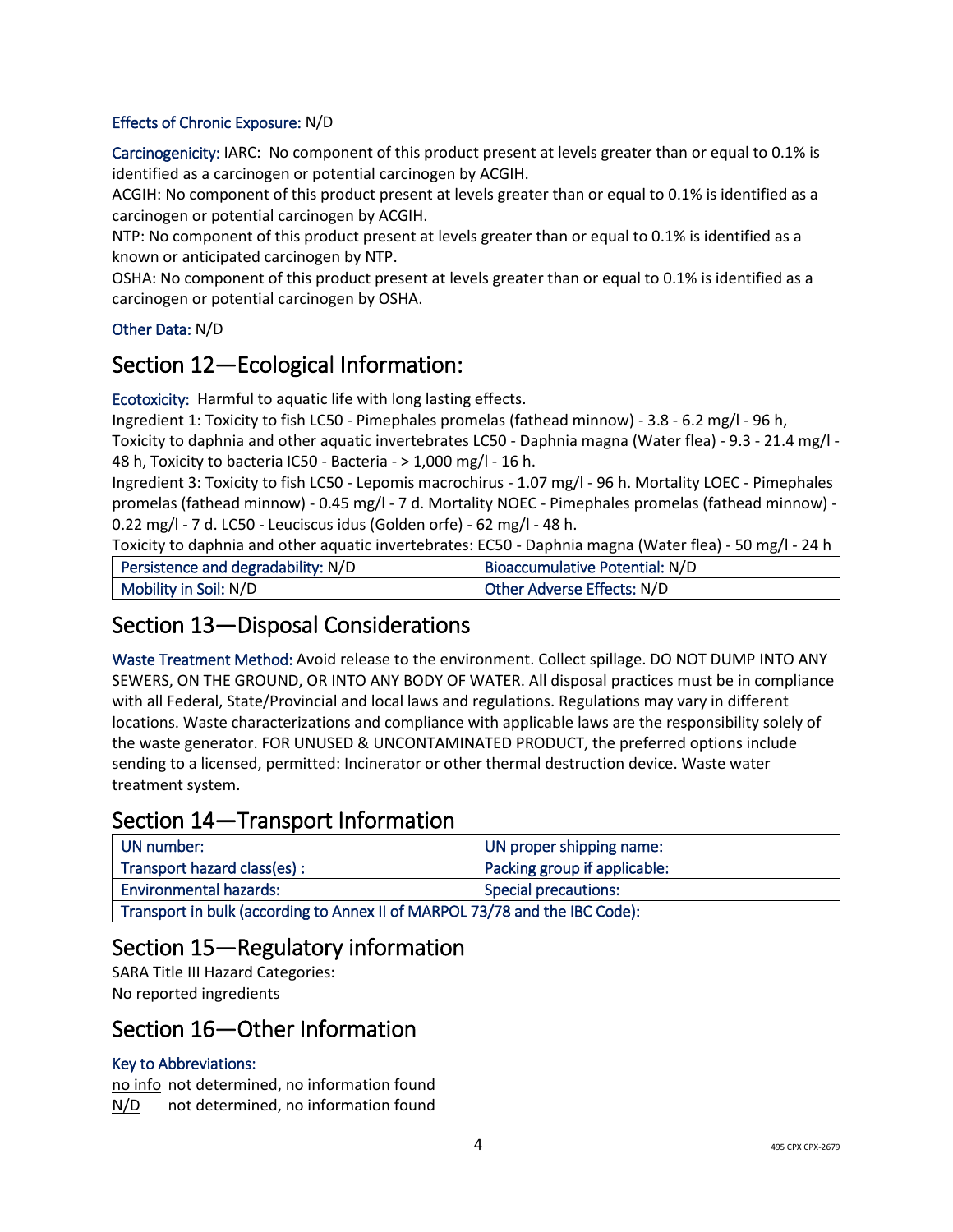#### Effects of Chronic Exposure: N/D

Carcinogenicity: IARC: No component of this product present at levels greater than or equal to 0.1% is identified as a carcinogen or potential carcinogen by ACGIH.

ACGIH: No component of this product present at levels greater than or equal to 0.1% is identified as a carcinogen or potential carcinogen by ACGIH.

NTP: No component of this product present at levels greater than or equal to 0.1% is identified as a known or anticipated carcinogen by NTP.

OSHA: No component of this product present at levels greater than or equal to 0.1% is identified as a carcinogen or potential carcinogen by OSHA.

#### Other Data: N/D

## Section 12—Ecological Information:

Ecotoxicity: Harmful to aquatic life with long lasting effects.

Ingredient 1: Toxicity to fish LC50 - Pimephales promelas (fathead minnow) - 3.8 - 6.2 mg/l - 96 h, Toxicity to daphnia and other aquatic invertebrates LC50 - Daphnia magna (Water flea) - 9.3 - 21.4 mg/l - 48 h, Toxicity to bacteria IC50 - Bacteria - > 1,000 mg/l - 16 h.

Ingredient 3: Toxicity to fish LC50 - Lepomis macrochirus - 1.07 mg/l - 96 h. Mortality LOEC - Pimephales promelas (fathead minnow) - 0.45 mg/l - 7 d. Mortality NOEC - Pimephales promelas (fathead minnow) - 0.22 mg/l - 7 d. LC50 - Leuciscus idus (Golden orfe) - 62 mg/l - 48 h.

Toxicity to daphnia and other aquatic invertebrates: EC50 - Daphnia magna (Water flea) - 50 mg/l - 24 h

| Persistence and degradability: N/D | Bioaccumulative Potential: N/D |
|------------------------------------|--------------------------------|
| Mobility in Soil: N/D              | Other Adverse Effects: N/D     |

## Section 13—Disposal Considerations

Waste Treatment Method: Avoid release to the environment. Collect spillage. DO NOT DUMP INTO ANY SEWERS, ON THE GROUND, OR INTO ANY BODY OF WATER. All disposal practices must be in compliance with all Federal, State/Provincial and local laws and regulations. Regulations may vary in different locations. Waste characterizations and compliance with applicable laws are the responsibility solely of the waste generator. FOR UNUSED & UNCONTAMINATED PRODUCT, the preferred options include sending to a licensed, permitted: Incinerator or other thermal destruction device. Waste water treatment system.

## Section 14—Transport Information

| UN number:                                                                  | UN proper shipping name:     |
|-----------------------------------------------------------------------------|------------------------------|
| Transport hazard class(es) :                                                | Packing group if applicable: |
| <b>Environmental hazards:</b>                                               | <b>Special precautions:</b>  |
| Transport in bulk (according to Annex II of MARPOL 73/78 and the IBC Code): |                              |

## Section 15—Regulatory information

SARA Title III Hazard Categories: No reported ingredients

### Section 16—Other Information

#### Key to Abbreviations:

no info not determined, no information found N/D not determined, no information found